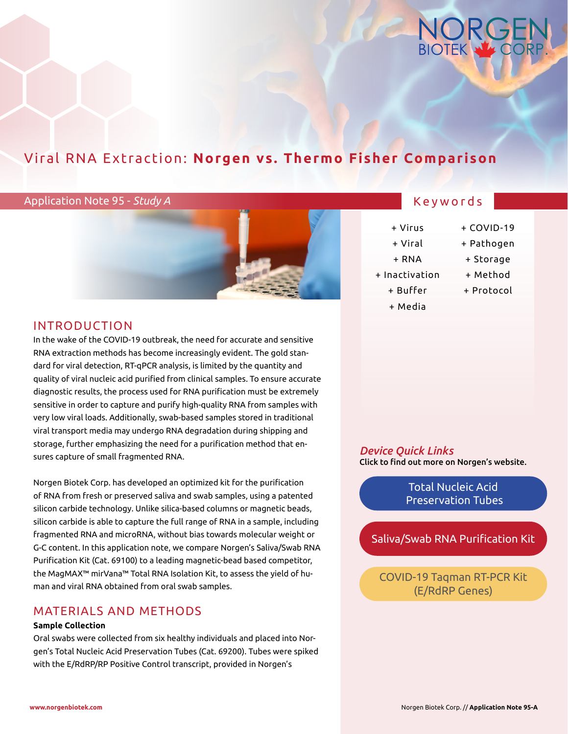

# Viral RNA Extraction: **Norgen vs. Thermo Fisher Comparison**

### Application Note 95 - *Study A*



## Keywords

- + Virus
- + Viral
- + RNA
- + Inactivation
	- + Buffer
	- + Media
- + COVID-19 + Pathogen
- - + Storage
	- + Method
	- + Protocol

# INTRODUCTION

In the wake of the COVID-19 outbreak, the need for accurate and sensitive RNA extraction methods has become increasingly evident. The gold standard for viral detection, RT-qPCR analysis, is limited by the quantity and quality of viral nucleic acid purified from clinical samples. To ensure accurate diagnostic results, the process used for RNA purification must be extremely sensitive in order to capture and purify high-quality RNA from samples with very low viral loads. Additionally, swab-based samples stored in traditional viral transport media may undergo RNA degradation during shipping and storage, further emphasizing the need for a purification method that ensures capture of small fragmented RNA.

Norgen Biotek Corp. has developed an optimized kit for the purification of RNA from fresh or preserved saliva and swab samples, using a patented silicon carbide technology. Unlike silica-based columns or magnetic beads, silicon carbide is able to capture the full range of RNA in a sample, including fragmented RNA and microRNA, without bias towards molecular weight or G-C content. In this application note, we compare Norgen's Saliva/Swab RNA Purification Kit (Cat. 69100) to a leading magnetic-bead based competitor, the MagMAX™ mirVana™ Total RNA Isolation Kit, to assess the yield of human and viral RNA obtained from oral swab samples.

## MATERIALS AND METHODS

#### **Sample Collection**

Oral swabs were collected from six healthy individuals and placed into Norgen's Total Nucleic Acid Preservation Tubes (Cat. 69200). Tubes were spiked with the E/RdRP/RP Positive Control transcript, provided in Norgen's

*Device Quick Links* Click to find out more on Norgen's website.

> Total Nucleic Acid  [Preservation Tubes](https://norgenbiotek.com/product/total-nucleic-acid-preservation-tubes-dx)

[Saliva/Swab RNA Purification Kit](https://norgenbiotek.com/product/salivaswab-rna-purification-kit)

[COVID-19 Taqman RT-PCR Kit](https://norgenbiotek.com/product/covid-19-taqman-rt-pcr-kit-erdrp-genes-dx)  (E/RdRP Genes)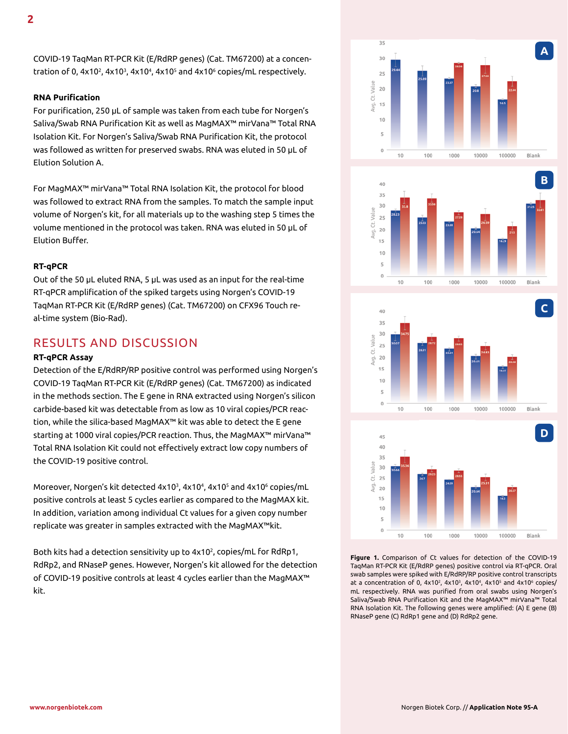COVID-19 TaqMan RT-PCR Kit (E/RdRP genes) (Cat. TM67200) at a concentration of 0, 4x10 $^2$ , 4x10 $^3$ , 4x10 $^4$ , 4x10 $^5$  and 4x10 $^6$  copies/mL respectively.

#### **RNA Purification**

For purification, 250 µL of sample was taken from each tube for Norgen's Saliva/Swab RNA Purification Kit as well as MagMAX™ mirVana™ Total RNA Isolation Kit. For Norgen's Saliva/Swab RNA Purification Kit, the protocol was followed as written for preserved swabs. RNA was eluted in 50 µL of Elution Solution A.

For MagMAX™ mirVana™ Total RNA Isolation Kit, the protocol for blood was followed to extract RNA from the samples. To match the sample input volume of Norgen's kit, for all materials up to the washing step 5 times the volume mentioned in the protocol was taken. RNA was eluted in 50 µL of Elution Buffer.

#### **RT-qPCR**

Out of the 50 µL eluted RNA, 5 µL was used as an input for the real-time RT-qPCR amplification of the spiked targets using Norgen's COVID-19 TaqMan RT-PCR Kit (E/RdRP genes) (Cat. TM67200) on CFX96 Touch real-time system (Bio-Rad).

# RESULTS AND DISCUSSION

#### **RT-qPCR Assay**

Detection of the E/RdRP/RP positive control was performed using Norgen's COVID-19 TaqMan RT-PCR Kit (E/RdRP genes) (Cat. TM67200) as indicated in the methods section. The E gene in RNA extracted using Norgen's silicon carbide-based kit was detectable from as low as 10 viral copies/PCR reaction, while the silica-based MagMAX™ kit was able to detect the E gene starting at 1000 viral copies/PCR reaction. Thus, the MagMAX™ mirVana™ Total RNA Isolation Kit could not effectively extract low copy numbers of the COVID-19 positive control.

Moreover, Norgen's kit detected 4x10<sup>3</sup>, 4x10<sup>4</sup>, 4x10<sup>5</sup> and 4x10<sup>6</sup> copies/mL positive controls at least 5 cycles earlier as compared to the MagMAX kit. In addition, variation among individual Ct values for a given copy number replicate was greater in samples extracted with the MagMAX™kit.

Both kits had a detection sensitivity up to 4x10<sup>2</sup>, copies/mL for RdRp1, RdRp2, and RNaseP genes. However, Norgen's kit allowed for the detection of COVID-19 positive controls at least 4 cycles earlier than the MagMAX™ kit.









**Figure 1.** Comparison of Ct values for detection of the COVID-19 TaqMan RT-PCR Kit (E/RdRP genes) positive control via RT-qPCR. Oral swab samples were spiked with E/RdRP/RP positive control transcripts at a concentration of 0, 4x10 $^2$ , 4x10 $^3$ , 4x10 $^4$ , 4x10 $^5$  and 4x10 $^6$  copies/ mL respectively. RNA was purified from oral swabs using Norgen's Saliva/Swab RNA Purification Kit and the MagMAX™ mirVana™ Total RNA Isolation Kit. The following genes were amplified: (A) E gene (B) RNaseP gene (C) RdRp1 gene and (D) RdRp2 gene.